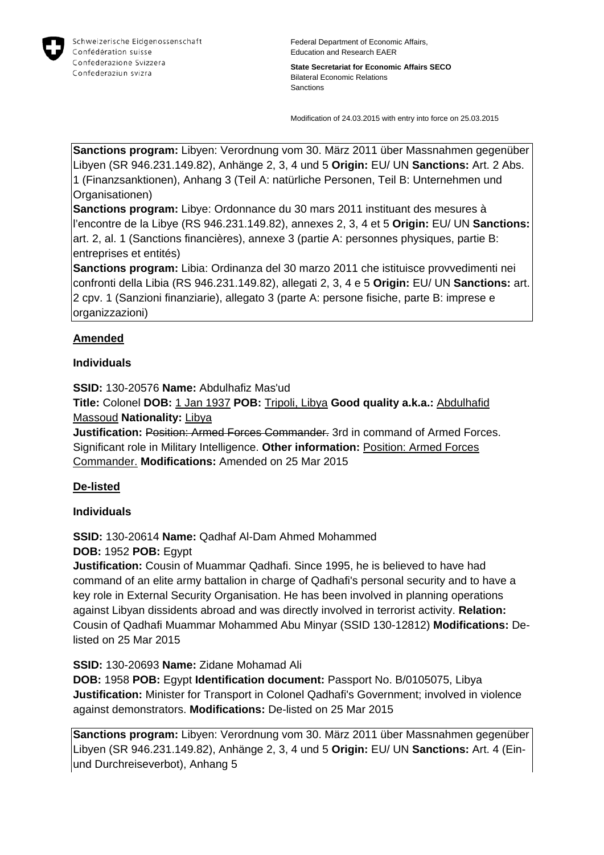

Federal Department of Economic Affairs, Education and Research EAER

**State Secretariat for Economic Affairs SECO** Bilateral Economic Relations Sanctions

Modification of 24.03.2015 with entry into force on 25.03.2015

**Sanctions program:** Libyen: Verordnung vom 30. März 2011 über Massnahmen gegenüber Libyen (SR 946.231.149.82), Anhänge 2, 3, 4 und 5 **Origin:** EU/ UN **Sanctions:** Art. 2 Abs. 1 (Finanzsanktionen), Anhang 3 (Teil A: natürliche Personen, Teil B: Unternehmen und Organisationen)

**Sanctions program:** Libye: Ordonnance du 30 mars 2011 instituant des mesures à l'encontre de la Libye (RS 946.231.149.82), annexes 2, 3, 4 et 5 **Origin:** EU/ UN **Sanctions:** art. 2, al. 1 (Sanctions financières), annexe 3 (partie A: personnes physiques, partie B: entreprises et entités)

**Sanctions program:** Libia: Ordinanza del 30 marzo 2011 che istituisce provvedimenti nei confronti della Libia (RS 946.231.149.82), allegati 2, 3, 4 e 5 **Origin:** EU/ UN **Sanctions:** art. 2 cpv. 1 (Sanzioni finanziarie), allegato 3 (parte A: persone fisiche, parte B: imprese e organizzazioni)

# **Amended**

### **Individuals**

**SSID:** 130-20576 **Name:** Abdulhafiz Mas'ud

**Title:** Colonel **DOB:** 1 Jan 1937 **POB:** Tripoli, Libya **Good quality a.k.a.:** Abdulhafid Massoud **Nationality:** Libya

**Justification: Position: Armed Forces Commander.** 3rd in command of Armed Forces. Significant role in Military Intelligence. **Other information:** Position: Armed Forces Commander. **Modifications:** Amended on 25 Mar 2015

## **De-listed**

#### **Individuals**

**SSID:** 130-20614 **Name:** Qadhaf Al-Dam Ahmed Mohammed

## **DOB:** 1952 **POB:** Egypt

**Justification:** Cousin of Muammar Qadhafi. Since 1995, he is believed to have had command of an elite army battalion in charge of Qadhafi's personal security and to have a key role in External Security Organisation. He has been involved in planning operations against Libyan dissidents abroad and was directly involved in terrorist activity. **Relation:** Cousin of Qadhafi Muammar Mohammed Abu Minyar (SSID 130-12812) **Modifications:** Delisted on 25 Mar 2015

#### **SSID:** 130-20693 **Name:** Zidane Mohamad Ali

**DOB:** 1958 **POB:** Egypt **Identification document:** Passport No. B/0105075, Libya **Justification:** Minister for Transport in Colonel Qadhafi's Government; involved in violence against demonstrators. **Modifications:** De-listed on 25 Mar 2015

**Sanctions program:** Libyen: Verordnung vom 30. März 2011 über Massnahmen gegenüber Libyen (SR 946.231.149.82), Anhänge 2, 3, 4 und 5 **Origin:** EU/ UN **Sanctions:** Art. 4 (Einund Durchreiseverbot), Anhang 5